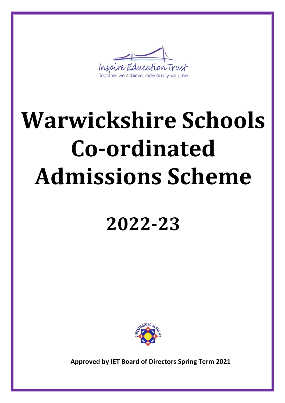

# **Warwickshire Schools Co-ordinated Admissions Scheme**

# **2022-23**



**Approved by IET Board of Directors Spring Term 2021**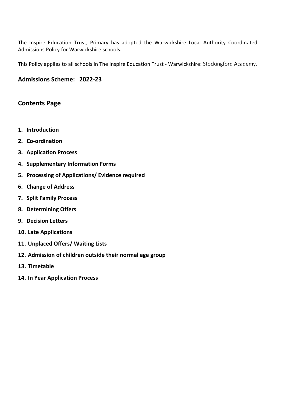The Inspire Education Trust, Primary has adopted the Warwickshire Local Authority Coordinated Admissions Policy for Warwickshire schools.

This Policy applies to all schools in The Inspire Education Trust - Warwickshire: Stockingford Academy.

#### **Admissions Scheme: 2022-23**

#### **Contents Page**

- **1. Introduction**
- **2. Co-ordination**
- **3. Application Process**
- **4. Supplementary Information Forms**
- **5. Processing of Applications/ Evidence required**
- **6. Change of Address**
- **7. Split Family Process**
- **8. Determining Offers**
- **9. Decision Letters**
- **10. Late Applications**
- **11. Unplaced Offers/ Waiting Lists**
- **12. Admission of children outside their normal age group**
- **13. Timetable**
- **14. In Year Application Process**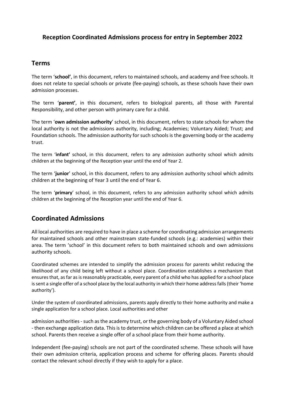#### **Reception Coordinated Admissions process for entry in September 2022**

#### **Terms**

The term '**school'**, in this document, refers to maintained schools, and academy and free schools. It does not relate to special schools or private (fee-paying) schools, as these schools have their own admission processes.

The term '**parent'**, in this document, refers to biological parents, all those with Parental Responsibility, and other person with primary care for a child.

The term '**own admission authority**' school, in this document, refers to state schools for whom the local authority is not the admissions authority, including; Academies; Voluntary Aided; Trust; and Foundation schools. The admission authority for such schools is the governing body or the academy trust.

The term '**infant'** school, in this document, refers to any admission authority school which admits children at the beginning of the Reception year until the end of Year 2.

The term '**junior**' school, in this document, refers to any admission authority school which admits children at the beginning of Year 3 until the end of Year 6.

The term '**primary**' school, in this document, refers to any admission authority school which admits children at the beginning of the Reception year until the end of Year 6.

#### **Coordinated Admissions**

All local authorities are required to have in place a scheme for coordinating admission arrangements for maintained schools and other mainstream state-funded schools (e.g.: academies) within their area. The term 'school' in this document refers to both maintained schools and own admissions authority schools.

Coordinated schemes are intended to simplify the admission process for parents whilst reducing the likelihood of any child being left without a school place. Coordination establishes a mechanism that ensures that, as far as is reasonably practicable, every parent of a child who has applied for a school place is sent a single offer of a school place by the local authority in which their home address falls (their 'home authority').

Under the system of coordinated admissions, parents apply directly to their home authority and make a single application for a school place. Local authorities and other

admission authorities - such as the academy trust, or the governing body of a Voluntary Aided school - then exchange application data. This is to determine which children can be offered a place at which school. Parents then receive a single offer of a school place from their home authority.

Independent (fee-paying) schools are not part of the coordinated scheme. These schools will have their own admission criteria, application process and scheme for offering places. Parents should contact the relevant school directly if they wish to apply for a place.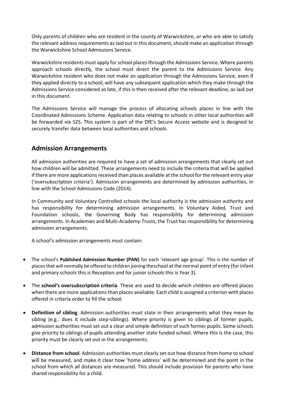Only parents of children who are resident in the county of Warwickshire, or who are able to satisfy the relevant address requirements as laid out in this document, should make an application through the Warwickshire School Admissions Service.

Warwickshire residents must apply for school places through the Admissions Service. Where parents approach schools directly, the school must direct the parent to the Admissions Service. Any Warwickshire resident who does not make an application through the Admissions Service, even if they applied directly to a school, will have any subsequent application which they make through the Admissions Service considered as late, if this is then received after the relevant deadline, as laid out in this document.

The Admissions Service will manage the process of allocating schools places in line with the Coordinated Admissions Scheme. Application data relating to schools in other local authorities will be forwarded via S2S. This system is part of the DfE's Secure Access website and is designed to securely transfer data between local authorities and schools.

#### **Admission Arrangements**

All admission authorities are required to have a set of admission arrangements that clearly set out how children will be admitted. These arrangements need to include the criteria that will be applied if there are more applications received than places available at the school for the relevant entry year ('oversubscription criteria'). Admission arrangements are determined by admission authorities, in line with the School Admissions Code (2014).

In Community and Voluntary Controlled schools the local authority is the admission authority and has responsibility for determining admission arrangements. In Voluntary Aided, Trust and Foundation schools, the Governing Body has responsibility for determining admission arrangements. In Academies and Multi-Academy-Trusts, the Trust has responsibility for determining admission arrangements.

A school's admission arrangements must contain:

- The school's **Published Admission Number (PAN)** for each 'relevant age group'. This is the number of places that will normally be offered to children joining theschool at the normal point of entry (for infant and primary schools this is Reception and for junior schools this is Year 3).
- The **school's oversubscription criteria**. These are used to decide which children are offered places when there are more applications than places available. Each child is assigned a criterion with places offered in criteria order to fill the school.
- **Definition of sibling**. Admission authorities must state in their arrangements what they mean by sibling (e.g.: does it include step-siblings). Where priority is given to siblings of former pupils, admission authorities must set out a clear and simple definition of such former pupils. Some schools give priority to siblings of pupils attending another state funded school. Where this is the case, this priority must be clearly set out in the arrangements.
- **Distance from school**. Admission authorities must clearly set out how distance from home to school will be measured, and make it clear how 'home address' will be determined and the point in the school from which all distances are measured. This should include provision for parents who have shared responsibility for a child.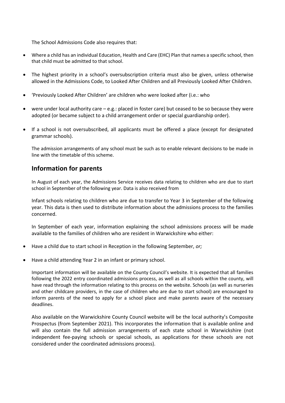The School Admissions Code also requires that:

- Where a child has an individual Education, Health and Care (EHC) Plan that names a specific school, then that child must be admitted to that school.
- The highest priority in a school's oversubscription criteria must also be given, unless otherwise allowed in the Admissions Code, to Looked After Children and all Previously Looked After Children.
- 'Previously Looked After Children' are children who were looked after (i.e.: who
- were under local authority care e.g.: placed in foster care) but ceased to be so because they were adopted (or became subject to a child arrangement order or special guardianship order).
- If a school is not oversubscribed, all applicants must be offered a place (except for designated grammar schools).

The admission arrangements of any school must be such as to enable relevant decisions to be made in line with the timetable of this scheme.

#### **Information for parents**

In August of each year, the Admissions Service receives data relating to children who are due to start school in September of the following year. Data is also received from

Infant schools relating to children who are due to transfer to Year 3 in September of the following year. This data is then used to distribute information about the admissions process to the families concerned.

In September of each year, information explaining the school admissions process will be made available to the families of children who are resident in Warwickshire who either:

- Have a child due to start school in Reception in the following September, *or;*
- Have a child attending Year 2 in an infant or primary school.

Important information will be available on the County Council's website. It is expected that all families following the 2022 entry coordinated admissions process, as well as all schools within the county, will have read through the information relating to this process on the website. Schools (as well as nurseries and other childcare providers, in the case of children who are due to start school) are encouraged to inform parents of the need to apply for a school place and make parents aware of the necessary deadlines.

Also available on the Warwickshire County Council website will be the local authority's Composite Prospectus (from September 2021). This incorporates the information that is available online and will also contain the full admission arrangements of each state school in Warwickshire (not independent fee-paying schools or special schools, as applications for these schools are not considered under the coordinated admissions process).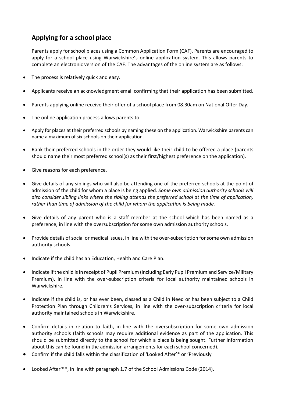# **Applying for a school place**

Parents apply for school places using a Common Application Form (CAF). Parents are encouraged to apply for a school place using Warwickshire's online application system. This allows parents to complete an electronic version of the CAF. The advantages of the online system are as follows:

- The process is relatively quick and easy.
- Applicants receive an acknowledgment email confirming that their application has been submitted.
- Parents applying online receive their offer of a school place from 08.30am on National Offer Day.
- The online application process allows parents to:
- Apply for places at their preferred schools by naming these on the application. Warwickshire parents can name a maximum of six schools on their application.
- Rank their preferred schools in the order they would like their child to be offered a place (parents should name their most preferred school(s) as their first/highest preference on the application).
- Give reasons for each preference.
- Give details of any siblings who will also be attending one of the preferred schools at the point of admission of the child for whom a place is being applied. *Some own admission authority schools will also consider sibling links where the sibling attends the preferred school at the time of application, rather than time of admission of the child for whom the application is being made.*
- Give details of any parent who is a staff member at the school which has been named as a preference, in line with the oversubscription for some own admission authority schools.
- Provide details of social or medical issues, in line with the over-subscription for some own admission authority schools.
- Indicate if the child has an Education, Health and Care Plan.
- Indicate if the child is in receipt of Pupil Premium (including Early Pupil Premium and Service/Military Premium), in line with the over-subscription criteria for local authority maintained schools in Warwickshire.
- Indicate if the child is, or has ever been, classed as a Child in Need or has been subject to a Child Protection Plan through Children's Services*,* in line with the over-subscription criteria for local authority maintained schools in Warwickshire.
- Confirm details in relation to faith, in line with the oversubscription for some own admission authority schools (faith schools may require additional evidence as part of the application. This should be submitted directly to the school for which a place is being sought. Further information about this can be found in the admission arrangements for each school concerned).
- Confirm if the child falls within the classification of 'Looked After'\* or 'Previously
- Looked After'\*\*, in line with paragraph 1.7 of the School Admissions Code (2014).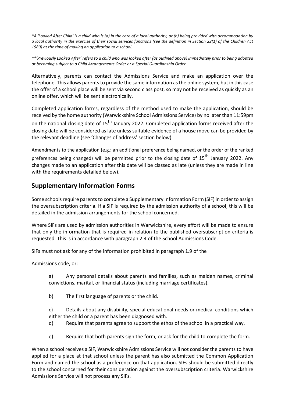*\*A 'Looked After Child' is a child who is (a) in the care of a local authority, or (b) being provided with accommodation by a local authority in the exercise of their social services functions (see the definition in Section 22(1) of the Children Act 1989) at the time of making an application to a school.*

*\*\*'Previously Looked After' refers to a child who was looked after (as outlined above) immediately prior to being adopted or becoming subject to a Child Arrangements Order or a Special Guardianship Order.*

Alternatively, parents can contact the Admissions Service and make an application over the telephone. This allows parents to provide the same information as the online system, but in this case the offer of a school place will be sent via second class post, so may not be received as quickly as an online offer, which will be sent electronically.

Completed application forms, regardless of the method used to make the application, should be received by the home authority (Warwickshire School Admissions Service) by no later than 11:59pm on the national closing date of 15<sup>th</sup> January 2022. Completed application forms received after the closing date will be considered as late unless suitable evidence of a house move can be provided by the relevant deadline (see 'Changes of address' section below).

Amendments to the application (e.g.: an additional preference being named, or the order of the ranked preferences being changed) will be permitted prior to the closing date of 15<sup>th</sup> January 2022. Any changes made to an application after this date will be classed as late (unless they are made in line with the requirements detailed below).

#### **Supplementary Information Forms**

Some schools require parents to complete a Supplementary Information Form (SIF) in order to assign the oversubscription criteria. If a SIF is required by the admission authority of a school, this will be detailed in the admission arrangements for the school concerned.

Where SIFs are used by admission authorities in Warwickshire, every effort will be made to ensure that only the information that is required in relation to the published oversubscription criteria is requested. This is in accordance with paragraph 2.4 of the School Admissions Code.

SIFs must not ask for any of the information prohibited in paragraph 1.9 of the

Admissions code, or:

a) Any personal details about parents and families, such as maiden names, criminal convictions, marital, or financial status (including marriage certificates).

b) The first language of parents or the child.

c) Details about any disability, special educational needs or medical conditions which either the child or a parent has been diagnosed with.

- d) Require that parents agree to support the ethos of the school in a practical way.
- e) Require that both parents sign the form, or ask for the child to complete the form.

When a school receives a SIF, Warwickshire Admissions Service will not consider the parents to have applied for a place at that school unless the parent has also submitted the Common Application Form and named the school as a preference on that application. SIFs should be submitted directly to the school concerned for their consideration against the oversubscription criteria. Warwickshire Admissions Service will not process any SIFs.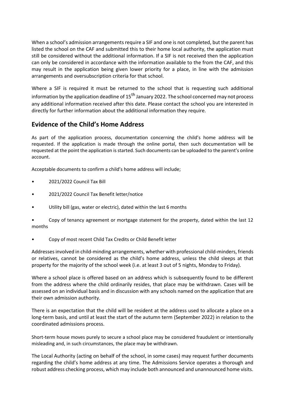When a school's admission arrangements require a SIF and one is not completed, but the parent has listed the school on the CAF and submitted this to their home local authority, the application must still be considered without the additional information. If a SIF is not received then the application can only be considered in accordance with the information available to the from the CAF, and this may result in the application being given lower priority for a place, in line with the admission arrangements and oversubscription criteria for that school.

Where a SIF is required it must be returned to the school that is requesting such additional information by the application deadline of 15<sup>th</sup> January 2022. The school concerned may not process any additional information received after this date. Please contact the school you are interested in directly for further information about the additional information they require.

# **Evidence of the Child's Home Address**

As part of the application process, documentation concerning the child's home address will be requested. If the application is made through the online portal, then such documentation will be requested at the point the application is started. Such documents can be uploaded to the parent's online account.

Acceptable documents to confirm a child's home address will include;

- 2021/2022 Council Tax Bill
- 2021/2022 Council Tax Benefit letter/notice
- Utility bill (gas, water or electric), dated within the last 6 months
- Copy of tenancy agreement or mortgage statement for the property, dated within the last 12 months
- Copy of most recent Child Tax Credits or Child Benefit letter

Addresses involved in child-minding arrangements, whether with professional child-minders, friends or relatives, cannot be considered as the child's home address, unless the child sleeps at that property for the majority of the school week (i.e. at least 3 out of 5 nights, Monday to Friday).

Where a school place is offered based on an address which is subsequently found to be different from the address where the child ordinarily resides, that place may be withdrawn. Cases will be assessed on an individual basis and in discussion with any schools named on the application that are their own admission authority.

There is an expectation that the child will be resident at the address used to allocate a place on a long-term basis, and until at least the start of the autumn term (September 2022) in relation to the coordinated admissions process.

Short-term house moves purely to secure a school place may be considered fraudulent or intentionally misleading and, in such circumstances, the place may be withdrawn.

The Local Authority (acting on behalf of the school, in some cases) may request further documents regarding the child's home address at any time. The Admissions Service operates a thorough and robust address checking process, which may include both announced and unannounced home visits.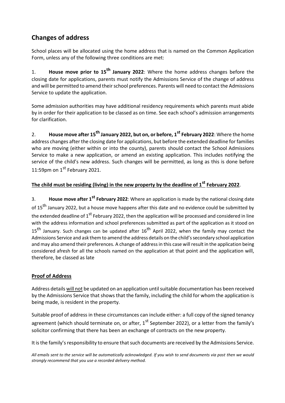# **Changes of address**

School places will be allocated using the home address that is named on the Common Application Form, unless any of the following three conditions are met:

1. **House move prior to 15th January 2022**: Where the home address changes before the closing date for applications, parents must notify the Admissions Service of the change of address and will be permitted to amend their school preferences. Parents will need to contact the Admissions Service to update the application.

Some admission authorities may have additional residency requirements which parents must abide by in order for their application to be classed as on time. See each school's admission arrangements for clarification.

2. **House move after 15th January 2022, but on, or before, 1st February 2022**: Where the home address changes after the closing date for applications, but before the extended deadline for families who are moving (either within or into the county), parents should contact the School Admissions Service to make a new application, or amend an existing application. This includes notifying the service of the child's new address. Such changes will be permitted, as long as this is done before 11:59pm on  $1^{st}$  February 2021.

# **The child must be residing (living) in the new property by the deadline of 1st February 2022**.

3. **House move after 1st February 2022**: Where an application is made by the national closing date of 15<sup>th</sup> January 2022, but a house move happens after this date and no evidence could be submitted by the extended deadline of 1<sup>st</sup> February 2022, then the application will be processed and considered in line with the address information and school preferences submitted as part of the application as it stood on 15<sup>th</sup> January. Such changes can be updated after 16<sup>th</sup> April 2022, when the family may contact the Admissions Service and ask them to amend the address details on the child's secondary school application and may also amend their preferences. A change of address in this case will result in the application being considered afresh for all the schools named on the application at that point and the application will, therefore, be classed as late

#### **Proof of Address**

Address details will not be updated on an application until suitable documentation has been received by the Admissions Service that shows that the family, including the child for whom the application is being made, is resident in the property.

Suitable proof of address in these circumstances can include either: a full copy of the signed tenancy agreement (which should terminate on, or after,  $1^{st}$  September 2022), or a letter from the family's solicitor confirming that there has been an exchange of contracts on the new property.

It is the family's responsibility to ensure that such documents are received by the Admissions Service.

*All emails sent to the service will be automatically acknowledged. If you wish to send documents via post then we would strongly recommend that you use a recorded delivery method.*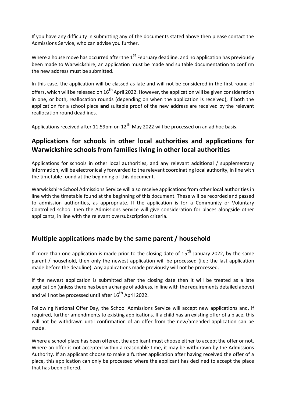If you have any difficulty in submitting any of the documents stated above then please contact the Admissions Service, who can advise you further.

Where a house move has occurred after the  $1<sup>st</sup>$  February deadline, and no application has previously been made to Warwickshire, an application must be made and suitable documentation to confirm the new address must be submitted.

In this case, the application will be classed as late and will not be considered in the first round of offers, which will be released on  $16^{th}$  April 2022. However, the application will be given consideration in one, or both, reallocation rounds (depending on when the application is received), if both the application for a school place **and** suitable proof of the new address are received by the relevant reallocation round deadlines.

Applications received after 11.59pm on  $12^{th}$  May 2022 will be processed on an ad hoc basis.

# **Applications for schools in other local authorities and applications for Warwickshire schools from families living in other local authorities**

Applications for schools in other local authorities, and any relevant additional / supplementary information, will be electronically forwarded to the relevant coordinating local authority, in line with the timetable found at the beginning of this document.

Warwickshire School Admissions Service will also receive applications from other local authorities in line with the timetable found at the beginning of this document. These will be recorded and passed to admission authorities, as appropriate. If the application is for a Community or Voluntary Controlled school then the Admissions Service will give consideration for places alongside other applicants, in line with the relevant oversubscription criteria.

# **Multiple applications made by the same parent / household**

If more than one application is made prior to the closing date of  $15<sup>th</sup>$  January 2022, by the same parent / household, then only the newest application will be processed (i.e.: the last application made before the deadline). Any applications made previously will not be processed.

If the newest application is submitted after the closing date then it will be treated as a late application (unless there has been a change of address, in line with the requirements detailed above) and will not be processed until after  $16<sup>th</sup>$  April 2022.

Following National Offer Day, the School Admissions Service will accept new applications and, if required, further amendments to existing applications. If a child has an existing offer of a place, this will not be withdrawn until confirmation of an offer from the new/amended application can be made.

Where a school place has been offered, the applicant must choose either to accept the offer or not. Where an offer is not accepted within a reasonable time, it may be withdrawn by the Admissions Authority. If an applicant choose to make a further application after having received the offer of a place, this application can only be processed where the applicant has declined to accept the place that has been offered.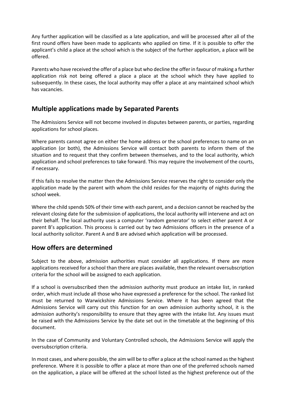Any further application will be classified as a late application, and will be processed after all of the first round offers have been made to applicants who applied on time. If it is possible to offer the applicant's child a place at the school which is the subject of the further application, a place will be offered.

Parents who have received the offer of a place but who decline the offer in favour of making a further application risk not being offered a place a place at the school which they have applied to subsequently. In these cases, the local authority may offer a place at any maintained school which has vacancies.

# **Multiple applications made by Separated Parents**

The Admissions Service will not become involved in disputes between parents, or parties, regarding applications for school places.

Where parents cannot agree on either the home address or the school preferences to name on an application (or both), the Admissions Service will contact both parents to inform them of the situation and to request that they confirm between themselves, and to the local authority, which application and school preferences to take forward. This may require the involvement of the courts, if necessary.

If this fails to resolve the matter then the Admissions Service reserves the right to consider only the application made by the parent with whom the child resides for the majority of nights during the school week.

Where the child spends 50% of their time with each parent, and a decision cannot be reached by the relevant closing date for the submission of applications, the local authority will intervene and act on their behalf. The local authority uses a computer 'random generator' to select either parent A or parent B's application. This process is carried out by two Admissions officers in the presence of a local authority solicitor. Parent A and B are advised which application will be processed.

#### **How offers are determined**

Subject to the above, admission authorities must consider all applications. If there are more applications received for a school than there are places available, then the relevant oversubscription criteria for the school will be assigned to each application.

If a school is oversubscribed then the admission authority must produce an intake list, in ranked order, which must include all those who have expressed a preference for the school. The ranked list must be returned to Warwickshire Admissions Service. Where it has been agreed that the Admissions Service will carry out this function for an own admission authority school, it is the admission authority's responsibility to ensure that they agree with the intake list. Any issues must be raised with the Admissions Service by the date set out in the timetable at the beginning of this document.

In the case of Community and Voluntary Controlled schools, the Admissions Service will apply the oversubscription criteria.

In most cases, and where possible, the aim will be to offer a place at the school named as the highest preference. Where it is possible to offer a place at more than one of the preferred schools named on the application, a place will be offered at the school listed as the highest preference out of the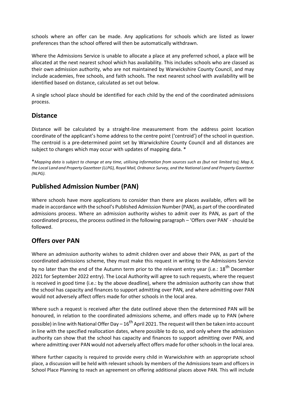schools where an offer can be made. Any applications for schools which are listed as lower preferences than the school offered will then be automatically withdrawn.

Where the Admissions Service is unable to allocate a place at any preferred school, a place will be allocated at the next nearest school which has availability. This includes schools who are classed as their own admission authority, who are not maintained by Warwickshire County Council, and may include academies, free schools, and faith schools. The next nearest school with availability will be identified based on distance, calculated as set out below.

A single school place should be identified for each child by the end of the coordinated admissions process.

#### **Distance**

Distance will be calculated by a straight-line measurement from the address point location coordinate of the applicant's home address to the centre point ('centroid') of the school in question. The centroid is a pre-determined point set by Warwickshire County Council and all distances are subject to changes which may occur with updates of mapping data. \*

\**Mapping data is subject to change at any time, utilising information from sources such as (but not limited to); Map X, the Local Land and Property Gazetteer (LLPG), Royal Mail, Ordnance Survey, and the National Land and Property Gazetteer (NLPG).*

# **Published Admission Number (PAN)**

Where schools have more applications to consider than there are places available, offers will be made in accordance with the school's Published Admission Number (PAN), as part of the coordinated admissions process. Where an admission authority wishes to admit over its PAN, as part of the coordinated process, the process outlined in the following paragraph – 'Offers over PAN' - should be followed.

# **Offers over PAN**

Where an admission authority wishes to admit children over and above their PAN, as part of the coordinated admissions scheme, they must make this request in writing to the Admissions Service by no later than the end of the Autumn term prior to the relevant entry year (i.e.: 18<sup>th</sup> December 2021 for September 2022 entry). The Local Authority will agree to such requests, where the request is received in good time (i.e.: by the above deadline), where the admission authority can show that the school has capacity and finances to support admitting over PAN, and where admitting over PAN would not adversely affect offers made for other schools in the local area.

Where such a request is received after the date outlined above then the determined PAN will be honoured, in relation to the coordinated admissions scheme, and offers made up to PAN (where possible) in line with National Offer Day –  $16^{th}$  April 2021. The request will then be taken into account in line with the specified reallocation dates, where possible to do so, and only where the admission authority can show that the school has capacity and finances to support admitting over PAN, and where admitting over PAN would not adversely affect offers made for other schools in the local area.

Where further capacity is required to provide every child in Warwickshire with an appropriate school place, a discussion will be held with relevant schools by members of the Admissions team and officers in School Place Planning to reach an agreement on offering additional places above PAN. This will include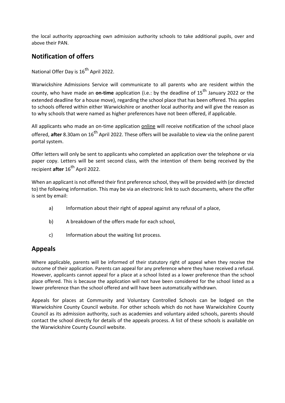the local authority approaching own admission authority schools to take additional pupils, over and above their PAN.

# **Notification of offers**

National Offer Day is 16<sup>th</sup> April 2022.

Warwickshire Admissions Service will communicate to all parents who are resident within the county, who have made an **on-time** application (i.e.: by the deadline of 15th January 2022 or the extended deadline for a house move), regarding the school place that has been offered. This applies to schools offered within either Warwickshire or another local authority and will give the reason as to why schools that were named as higher preferences have not been offered, if applicable.

All applicants who made an on-time application online will receive notification of the school place offered, **after** 8.30am on 16<sup>th</sup> April 2022. These offers will be available to view via the online parent portal system.

Offer letters will only be sent to applicants who completed an application over the telephone or via paper copy. Letters will be sent second class, with the intention of them being received by the recipient **after** 16<sup>th</sup> April 2022.

When an applicant is not offered their first preference school, they will be provided with (or directed to) the following information. This may be via an electronic link to such documents, where the offer is sent by email:

- a) Information about their right of appeal against any refusal of a place,
- b) A breakdown of the offers made for each school,
- c) Information about the waiting list process.

#### **Appeals**

Where applicable, parents will be informed of their statutory right of appeal when they receive the outcome of their application. Parents can appeal for any preference where they have received a refusal. However, applicants cannot appeal for a place at a school listed as a lower preference than the school place offered. This is because the application will not have been considered for the school listed as a lower preference than the school offered and will have been automatically withdrawn.

Appeals for places at Community and Voluntary Controlled Schools can be lodged on the Warwickshire County Council website. For other schools which do not have Warwickshire County Council as its admission authority, such as academies and voluntary aided schools, parents should contact the school directly for details of the appeals process. A list of these schools is available on the Warwickshire County Council website.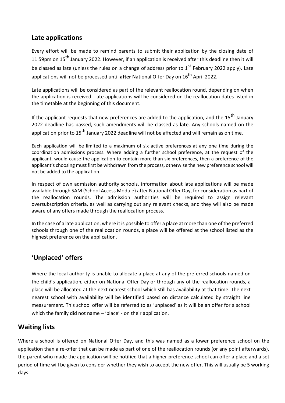# **Late applications**

Every effort will be made to remind parents to submit their application by the closing date of 11.59pm on 15<sup>th</sup> January 2022. However, if an application is received after this deadline then it will be classed as late (unless the rules on a change of address prior to 1<sup>st</sup> February 2022 apply). Late applications will not be processed until **after** National Offer Day on 16th April 2022.

Late applications will be considered as part of the relevant reallocation round, depending on when the application is received. Late applications will be considered on the reallocation dates listed in the timetable at the beginning of this document.

If the applicant requests that new preferences are added to the application, and the  $15<sup>th</sup>$  January 2022 deadline has passed, such amendments will be classed as **late**. Any schools named on the application prior to 15<sup>th</sup> January 2022 deadline will not be affected and will remain as on time.

Each application will be limited to a maximum of six active preferences at any one time during the coordination admissions process. Where adding a further school preference, at the request of the applicant, would cause the application to contain more than six preferences, then a preference of the applicant's choosing must first be withdrawn from the process, otherwise the new preference school will not be added to the application.

In respect of own admission authority schools, information about late applications will be made available through SAM (School Access Module) after National Offer Day, for consideration as part of the reallocation rounds. The admission authorities will be required to assign relevant oversubscription criteria, as well as carrying out any relevant checks, and they will also be made aware of any offers made through the reallocation process.

In the case of a late application, where it is possible to offer a place at more than one of the preferred schools through one of the reallocation rounds, a place will be offered at the school listed as the highest preference on the application.

# **'Unplaced' offers**

Where the local authority is unable to allocate a place at any of the preferred schools named on the child's application, either on National Offer Day or through any of the reallocation rounds, a place will be allocated at the next nearest school which still has availability at that time. The next nearest school with availability will be identified based on distance calculated by straight line measurement. This school offer will be referred to as 'unplaced' as it will be an offer for a school which the family did not name – 'place' - on their application.

# **Waiting lists**

Where a school is offered on National Offer Day, and this was named as a lower preference school on the application than a re-offer that can be made as part of one of the reallocation rounds (or any point afterwards), the parent who made the application will be notified that a higher preference school can offer a place and a set period of time will be given to consider whether they wish to accept the new offer. This will usually be 5 working days.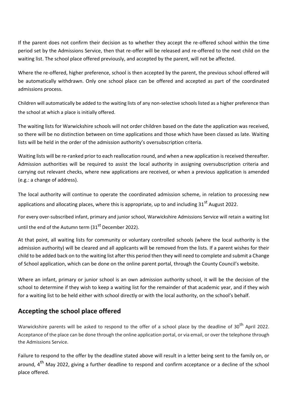If the parent does not confirm their decision as to whether they accept the re-offered school within the time period set by the Admissions Service, then that re-offer will be released and re-offered to the next child on the waiting list. The school place offered previously, and accepted by the parent, will not be affected.

Where the re-offered, higher preference, school is then accepted by the parent, the previous school offered will be automatically withdrawn. Only one school place can be offered and accepted as part of the coordinated admissions process.

Children will automatically be added to the waiting lists of any non-selective schools listed as a higher preference than the school at which a place is initially offered.

The waiting lists for Warwickshire schools will not order children based on the date the application was received, so there will be no distinction between on time applications and those which have been classed as late. Waiting lists will be held in the order of the admission authority's oversubscription criteria.

Waiting lists will be re-ranked prior to each reallocation round, and when a new application is received thereafter. Admission authorities will be required to assist the local authority in assigning oversubscription criteria and carrying out relevant checks, where new applications are received, or when a previous application is amended (e.g.: a change of address).

The local authority will continue to operate the coordinated admission scheme, in relation to processing new applications and allocating places, where this is appropriate, up to and including 31<sup>st</sup> August 2022.

For every over-subscribed infant, primary and junior school, Warwickshire Admissions Service will retain a waiting list until the end of the Autumn term  $(31<sup>st</sup>$  December 2022).

At that point, all waiting lists for community or voluntary controlled schools (where the local authority is the admission authority) will be cleared and all applicants will be removed from the lists. If a parent wishes for their child to be added back on to the waiting list after this period then they will need to complete and submit a Change of School application, which can be done on the online parent portal, through the County Council's website.

Where an infant, primary or junior school is an own admission authority school, it will be the decision of the school to determine if they wish to keep a waiting list for the remainder of that academic year, and if they wish for a waiting list to be held either with school directly or with the local authority, on the school's behalf.

# **Accepting the school place offered**

Warwickshire parents will be asked to respond to the offer of a school place by the deadline of 30<sup>th</sup> April 2022. Acceptance of the place can be done through the online application portal, or via email, or over the telephone through the Admissions Service.

Failure to respond to the offer by the deadline stated above will result in a letter being sent to the family on, or around, 4<sup>th</sup> May 2022, giving a further deadline to respond and confirm acceptance or a decline of the school place offered.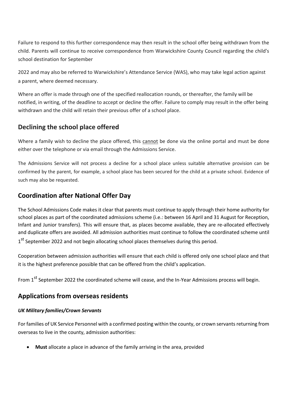Failure to respond to this further correspondence may then result in the school offer being withdrawn from the child. Parents will continue to receive correspondence from Warwickshire County Council regarding the child's school destination for September

2022 and may also be referred to Warwickshire's Attendance Service (WAS), who may take legal action against a parent, where deemed necessary.

Where an offer is made through one of the specified reallocation rounds, or thereafter, the family will be notified, in writing, of the deadline to accept or decline the offer. Failure to comply may result in the offer being withdrawn and the child will retain their previous offer of a school place.

# **Declining the school place offered**

Where a family wish to decline the place offered, this cannot be done via the online portal and must be done either over the telephone or via email through the Admissions Service.

The Admissions Service will not process a decline for a school place unless suitable alternative provision can be confirmed by the parent, for example, a school place has been secured for the child at a private school. Evidence of such may also be requested.

# **Coordination after National Offer Day**

The School Admissions Code makes it clear that parents must continue to apply through their home authority for school places as part of the coordinated admissions scheme (i.e.: between 16 April and 31 August for Reception, Infant and Junior transfers). This will ensure that, as places become available, they are re-allocated effectively and duplicate offers are avoided. All admission authorities must continue to follow the coordinated scheme until 1<sup>st</sup> September 2022 and not begin allocating school places themselves during this period.

Cooperation between admission authorities will ensure that each child is offered only one school place and that it is the highest preference possible that can be offered from the child's application.

From 1<sup>st</sup> September 2022 the coordinated scheme will cease, and the In-Year Admissions process will begin.

# **Applications from overseas residents**

#### *UK Military families/Crown Servants*

For families of UK Service Personnel with a confirmed posting within the county, or crown servants returning from overseas to live in the county, admission authorities:

**Must** allocate a place in advance of the family arriving in the area, provided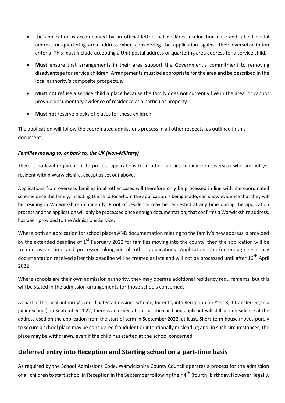- the application is accompanied by an official letter that declares a relocation date and a Unit postal address or quartering area address when considering the application against their oversubscription criteria. This must include accepting a Unit postal address or quartering area address for a service child.
- **Must** ensure that arrangements in their area support the Government's commitment to removing disadvantage for service children. Arrangements must be appropriate for the area and be described in the local authority's composite prospectus.
- **Must not** refuse a service child a place because the family does not currently live in the area, or cannot provide documentary evidence of residence at a particular property
- **Must not** reserve blocks of places for these children.

The application will follow the coordinated admissions process in all other respects, as outlined in this document.

#### *Families moving to, or back to, the UK (Non-Military)*

There is no legal requirement to process applications from other families coming from overseas who are not yet resident within Warwickshire, except as set out above.

Applications from overseas families in all other cases will therefore only be processed in line with the coordinated scheme once the family, including the child for whom the application is being made, can show evidence that they will be residing in Warwickshire imminently. Proof of residence may be requested at any time during the application process and the application will only be processed once enough documentation, that confirms a Warwickshire address, has been provided to the Admissions Service.

Where both an application for school places AND documentation relating to the family's new address is provided by the extended deadline of  $1<sup>st</sup>$  February 2022 for families moving into the county, then the application will be treated as on time and processed alongside all other applications. Applications and/or enough residency documentation received after this deadline will be treated as late and will not be processed until after 16<sup>th</sup> April 2022.

Where schools are their own admission authority, they may operate additional residency requirements, but this will be stated in the admission arrangements for those schools concerned.

As part of the local authority's coordinated admissions scheme, for entry into Reception (or Year 3, if transferring to a junior school), in September 2022, there is an expectation that the child and applicant will still be in residence at the address used on the application from the start of term in September 2022, at least. Short-term house moves purely to secure a school place may be considered fraudulent or intentionally misleading and, in such circumstances, the place may be withdrawn, even if the child has started at the school concerned.

# **Deferred entry into Reception and Starting school on a part-time basis**

As required by the School Admissions Code, Warwickshire County Council operates a process for the admission of all children to start school in Reception in the September following their 4<sup>th</sup> (fourth) birthday. However, legally,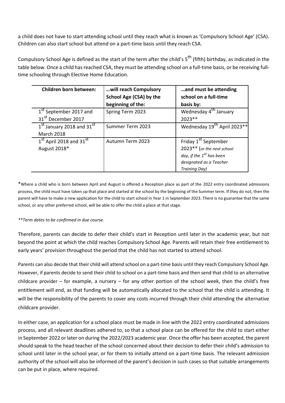a child does not have to start attending school until they reach what is known as 'Compulsory School Age' (CSA). Children can also start school but attend on a part-time basis until they reach CSA.

Compulsory School Age is defined as the start of the term after the child's  $5^{th}$  (fifth) birthday, as indicated in the table below. Once a child has reached CSA, they must be attending school on a full-time basis, or be receiving fulltime schooling through Elective Home Education.

| <b>Children born between:</b>                     | will reach Compulsory   | and must be attending                               |
|---------------------------------------------------|-------------------------|-----------------------------------------------------|
|                                                   | School Age (CSA) by the | school on a full-time                               |
|                                                   | beginning of the:       | basis by:                                           |
| 1 <sup>st</sup> September 2017 and                | Spring Term 2023        | Wednesday 4 <sup>th</sup> January                   |
| 31 <sup>st</sup> December 2017                    |                         | $2023**$                                            |
| 1 <sup>st</sup> January 2018 and 31 <sup>st</sup> | Summer Term 2023        | Wednesday 19 <sup>th</sup> April 2023 <sup>**</sup> |
| <b>March 2018</b>                                 |                         |                                                     |
| 1 <sup>st</sup> April 2018 and 31 <sup>st</sup>   | Autumn Term 2023        | Friday 1 <sup>st</sup> September                    |
| August 2018*                                      |                         | 2023** (or the next school                          |
|                                                   |                         | day, if the 1 <sup>st</sup> has been                |
|                                                   |                         | designated as a Teacher                             |
|                                                   |                         | <b>Training Day)</b>                                |

\*Where a child who is born between April and August is offered a Reception place as part of the 2022 entry coordinated admissions process, the child must have taken up that place and started at the school by the beginning of the Summer term. If they do not, then the parent will have to make a new application for the child to start school in Year 1 in September 2023. There is no guarantee that the same school, or any other preferred school, will be able to offer the child a place at that stage.

#### *\*\*Term dates to be confirmed in due course.*

Therefore, parents can decide to defer their child's start in Reception until later in the academic year, but not beyond the point at which the child reaches Compulsory School Age. Parents will retain their free entitlement to early years' provision throughout the period that the child has not started to attend school.

Parents can also decide that their child will attend school on a part-time basis until they reach Compulsory School Age. However, if parents decide to send their child to school on a part-time basis and then send that child to an alternative childcare provider – for example, a nursery – for any other portion of the school week, then the child's free entitlement will end, as that funding will be automatically allocated to the school that the child is attending. It will be the responsibility of the parents to cover any costs incurred through their child attending the alternative childcare provider.

In either case, an application for a school place must be made in line with the 2022 entry coordinated admissions process, and all relevant deadlines adhered to, so that a school place can be offered for the child to start either in September 2022 or later on during the 2022/2023 academic year. Once the offer has been accepted, the parent should speak to the head teacher of the school concerned about their decision to defer their child's admission to school until later in the school year, or for them to initially attend on a part-time basis. The relevant admission authority of the school will also be informed of the parent's decision in such cases so that suitable arrangements can be put in place, where required.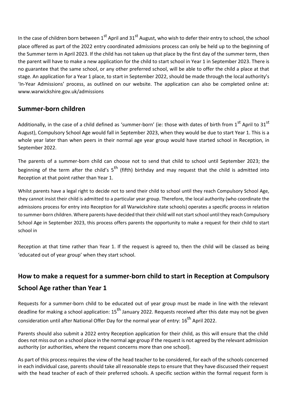In the case of children born between  $1^{st}$  April and  $31^{st}$  August, who wish to defer their entry to school, the school place offered as part of the 2022 entry coordinated admissions process can only be held up to the beginning of the Summer term in April 2023. If the child has not taken up that place by the first day of the summer term, then the parent will have to make a new application for the child to start school in Year 1 in September 2023. There is no guarantee that the same school, or any other preferred school, will be able to offer the child a place at that stage. An application for a Year 1 place, to start in September 2022, should be made through the local authority's 'In-Year Admissions' process, as outlined on our website. The application can also be completed online at: www.warwickshire.gov.uk/admissions

# **Summer-born children**

Additionally, in the case of a child defined as 'summer-born' (ie: those with dates of birth from  $1<sup>st</sup>$  April to 31<sup>st</sup> August), Compulsory School Age would fall in September 2023, when they would be due to start Year 1. This is a whole year later than when peers in their normal age year group would have started school in Reception, in September 2022.

The parents of a summer-born child can choose not to send that child to school until September 2023; the beginning of the term after the child's  $5<sup>th</sup>$  (fifth) birthday and may request that the child is admitted into Reception at that point rather than Year 1.

Whilst parents have a legal right to decide not to send their child to school until they reach Compulsory School Age, they cannot insist their child is admitted to a particular year group. Therefore, the local authority (who coordinate the admissions process for entry into Reception for all Warwickshire state schools) operates a specific process in relation to summer-born children. Where parents have decided that their child will not start school until they reach Compulsory School Age in September 2023, this process offers parents the opportunity to make a request for their child to start school in

Reception at that time rather than Year 1. If the request is agreed to, then the child will be classed as being 'educated out of year group' when they start school.

# **How to make a request for a summer-born child to start in Reception at Compulsory School Age rather than Year 1**

Requests for a summer-born child to be educated out of year group must be made in line with the relevant deadline for making a school application: 15<sup>th</sup> January 2022. Requests received after this date may not be given consideration until after National Offer Day for the normal year of entry: 16<sup>th</sup> April 2022.

Parents should also submit a 2022 entry Reception application for their child, as this will ensure that the child does not miss out on a school place in the normal age group if the request is not agreed by the relevant admission authority (or authorities, where the request concerns more than one school).

As part of this process requires the view of the head teacher to be considered, for each of the schools concerned in each individual case, parents should take all reasonable steps to ensure that they have discussed their request with the head teacher of each of their preferred schools. A specific section within the formal request form is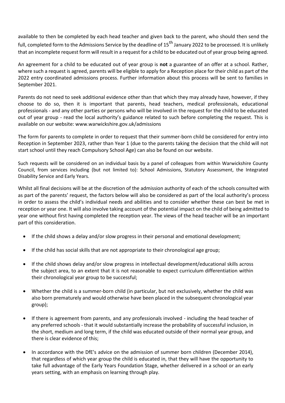available to then be completed by each head teacher and given back to the parent, who should then send the full, completed form to the Admissions Service by the deadline of  $15^{th}$  January 2022 to be processed. It is unlikely that an incomplete request form will result in a request for a child to be educated out of year group being agreed.

An agreement for a child to be educated out of year group is **not** a guarantee of an offer at a school. Rather, where such a request is agreed, parents will be eligible to apply for a Reception place for their child as part of the 2022 entry coordinated admissions process. Further information about this process will be sent to families in September 2021.

Parents do not need to seek additional evidence other than that which they may already have, however, if they choose to do so, then it is important that parents, head teachers, medical professionals, educational professionals - and any other parties or persons who will be involved in the request for the child to be educated out of year group - read the local authority's guidance related to such before completing the request. This is available on our website: www.warwickshire.gov.uk/admissions

The form for parents to complete in order to request that their summer-born child be considered for entry into Reception in September 2023, rather than Year 1 (due to the parents taking the decision that the child will not start school until they reach Compulsory School Age) can also be found on our website.

Such requests will be considered on an individual basis by a panel of colleagues from within Warwickshire County Council, from services including (but not limited to): School Admissions, Statutory Assessment, the Integrated Disability Service and Early Years.

Whilst all final decisions will be at the discretion of the admission authority of each of the schools consulted with as part of the parents' request, the factors below will also be considered as part of the local authority's process in order to assess the child's individual needs and abilities and to consider whether these can best be met in reception or year one. It will also involve taking account of the potential impact on the child of being admitted to year one without first having completed the reception year. The views of the head teacher will be an important part of this consideration.

- If the child shows a delay and/or slow progress in their personal and emotional development;
- If the child has social skills that are not appropriate to their chronological age group;
- If the child shows delay and/or slow progress in intellectual development/educational skills across the subject area, to an extent that it is not reasonable to expect curriculum differentiation within their chronological year group to be successful;
- Whether the child is a summer-born child (in particular, but not exclusively, whether the child was also born prematurely and would otherwise have been placed in the subsequent chronological year group);
- If there is agreement from parents, and any professionals involved including the head teacher of any preferred schools - that it would substantially increase the probability of successful inclusion, in the short, medium and long term, if the child was educated outside of their normal year group, and there is clear evidence of this;
- In accordance with the DfE's advice on the admission of summer born children (December 2014), that regardless of which year group the child is educated in, that they will have the opportunity to take full advantage of the Early Years Foundation Stage, whether delivered in a school or an early years setting, with an emphasis on learning through play.